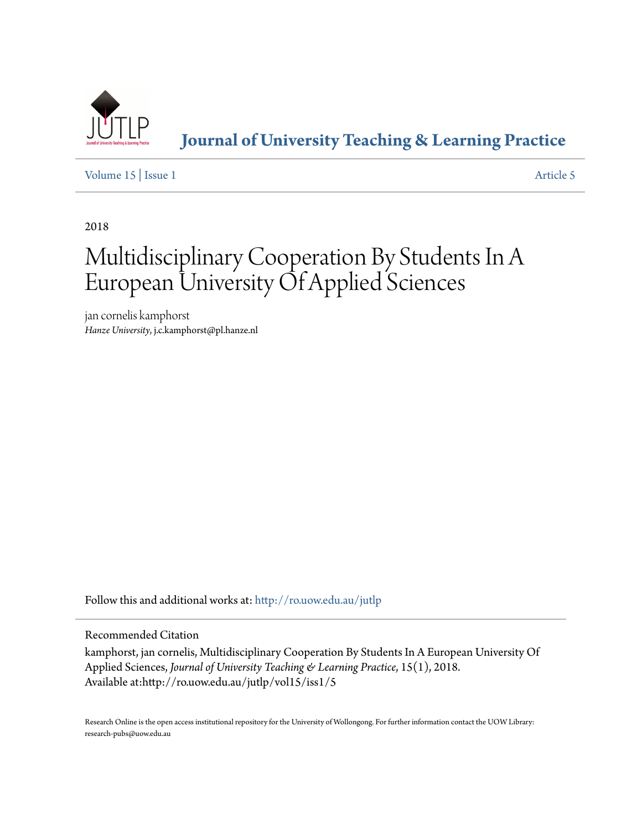

**[Journal of University Teaching & Learning Practice](http://ro.uow.edu.au/jutlp?utm_source=ro.uow.edu.au%2Fjutlp%2Fvol15%2Fiss1%2F5&utm_medium=PDF&utm_campaign=PDFCoverPages)**

[Volume 15](http://ro.uow.edu.au/jutlp/vol15?utm_source=ro.uow.edu.au%2Fjutlp%2Fvol15%2Fiss1%2F5&utm_medium=PDF&utm_campaign=PDFCoverPages) | [Issue 1](http://ro.uow.edu.au/jutlp/vol15/iss1?utm_source=ro.uow.edu.au%2Fjutlp%2Fvol15%2Fiss1%2F5&utm_medium=PDF&utm_campaign=PDFCoverPages) [Article 5](http://ro.uow.edu.au/jutlp/vol15/iss1/5?utm_source=ro.uow.edu.au%2Fjutlp%2Fvol15%2Fiss1%2F5&utm_medium=PDF&utm_campaign=PDFCoverPages)

2018

# Multidisciplinary Cooperation By Students In A European University Of Applied Sciences

jan cornelis kamphorst *Hanze University*, j.c.kamphorst@pl.hanze.nl

Follow this and additional works at: [http://ro.uow.edu.au/jutlp](http://ro.uow.edu.au/jutlp?utm_source=ro.uow.edu.au%2Fjutlp%2Fvol15%2Fiss1%2F5&utm_medium=PDF&utm_campaign=PDFCoverPages)

Recommended Citation

kamphorst, jan cornelis, Multidisciplinary Cooperation By Students In A European University Of Applied Sciences, *Journal of University Teaching & Learning Practice*, 15(1), 2018. Available at:http://ro.uow.edu.au/jutlp/vol15/iss1/5

Research Online is the open access institutional repository for the University of Wollongong. For further information contact the UOW Library: research-pubs@uow.edu.au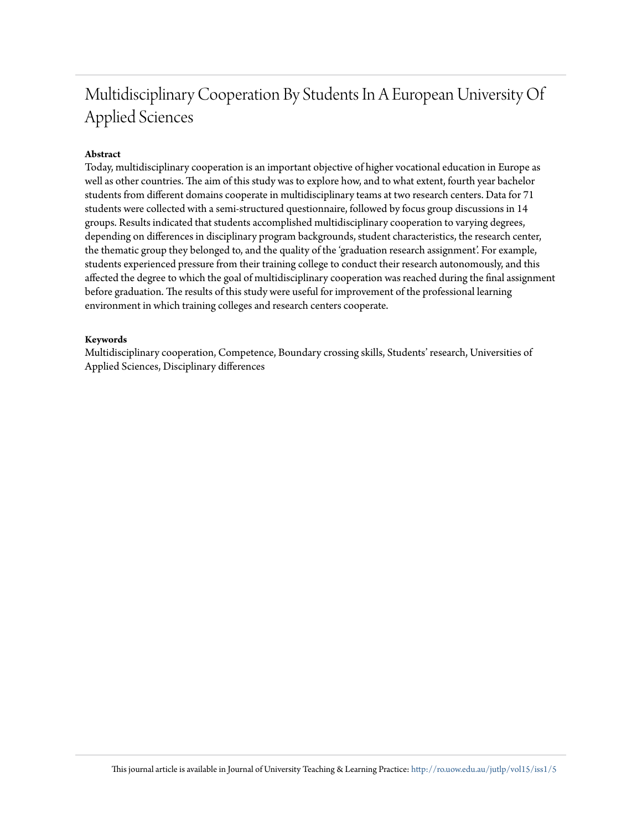# Multidisciplinary Cooperation By Students In A European University Of Applied Sciences

# **Abstract**

Today, multidisciplinary cooperation is an important objective of higher vocational education in Europe as well as other countries. The aim of this study was to explore how, and to what extent, fourth year bachelor students from different domains cooperate in multidisciplinary teams at two research centers. Data for 71 students were collected with a semi-structured questionnaire, followed by focus group discussions in 14 groups. Results indicated that students accomplished multidisciplinary cooperation to varying degrees, depending on differences in disciplinary program backgrounds, student characteristics, the research center, the thematic group they belonged to, and the quality of the 'graduation research assignment'. For example, students experienced pressure from their training college to conduct their research autonomously, and this affected the degree to which the goal of multidisciplinary cooperation was reached during the final assignment before graduation. The results of this study were useful for improvement of the professional learning environment in which training colleges and research centers cooperate.

## **Keywords**

Multidisciplinary cooperation, Competence, Boundary crossing skills, Students' research, Universities of Applied Sciences, Disciplinary differences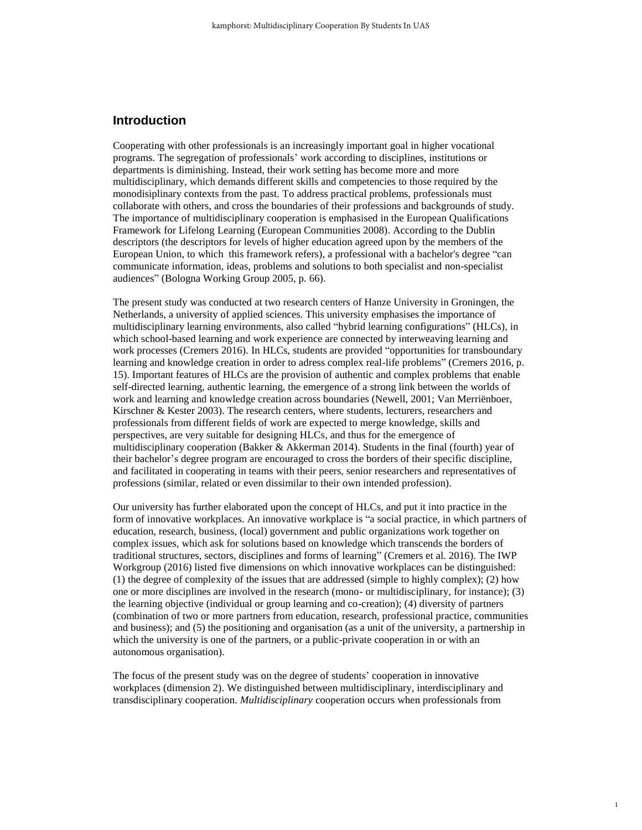# **Introduction**

Cooperating with other professionals is an increasingly important goal in higher vocational programs. The segregation of professionals' work according to disciplines, institutions or departments is diminishing. Instead, their work setting has become more and more multidisciplinary, which demands different skills and competencies to those required by the monodisiplinary contexts from the past. To address practical problems, professionals must collaborate with others, and cross the boundaries of their professions and backgrounds of study. The importance of multidisciplinary cooperation is emphasised in the European Qualifications Framework for Lifelong Learning (European Communities 2008). According to the Dublin descriptors (the descriptors for levels of higher education agreed upon by the members of the European Union, to which this framework refers), a professional with a bachelor's degree "can communicate information, ideas, problems and solutions to both specialist and non-specialist audiences" (Bologna Working Group 2005, p. 66).

The present study was conducted at two research centers of Hanze University in Groningen, the Netherlands, a university of applied sciences. This university emphasises the importance of multidisciplinary learning environments, also called "hybrid learning configurations" (HLCs), in which school-based learning and work experience are connected by interweaving learning and work processes (Cremers 2016). In HLCs, students are provided "opportunities for transboundary learning and knowledge creation in order to adress complex real-life problems" (Cremers 2016, p. 15). Important features of HLCs are the provision of authentic and complex problems that enable self-directed learning, authentic learning, the emergence of a strong link between the worlds of work and learning and knowledge creation across boundaries (Newell, 2001; Van Merriënboer, Kirschner & Kester 2003). The research centers, where students, lecturers, researchers and professionals from different fields of work are expected to merge knowledge, skills and perspectives, are very suitable for designing HLCs, and thus for the emergence of multidisciplinary cooperation (Bakker & Akkerman 2014). Students in the final (fourth) year of their bachelor's degree program are encouraged to cross the borders of their specific discipline, and facilitated in cooperating in teams with their peers, senior researchers and representatives of professions (similar, related or even dissimilar to their own intended profession).

Our university has further elaborated upon the concept of HLCs, and put it into practice in the form of innovative workplaces. An innovative workplace is "a social practice, in which partners of education, research, business, (local) government and public organizations work together on complex issues, which ask for solutions based on knowledge which transcends the borders of traditional structures, sectors, disciplines and forms of learning" (Cremers et al. 2016). The IWP Workgroup (2016) listed five dimensions on which innovative workplaces can be distinguished: (1) the degree of complexity of the issues that are addressed (simple to highly complex); (2) how one or more disciplines are involved in the research (mono- or multidisciplinary, for instance); (3) the learning objective (individual or group learning and co-creation); (4) diversity of partners (combination of two or more partners from education, research, professional practice, communities and business); and (5) the positioning and organisation (as a unit of the university, a partnership in which the university is one of the partners, or a public-private cooperation in or with an autonomous organisation).

The focus of the present study was on the degree of students' cooperation in innovative workplaces (dimension 2). We distinguished between multidisciplinary, interdisciplinary and transdisciplinary cooperation. *Multidisciplinary* cooperation occurs when professionals from

1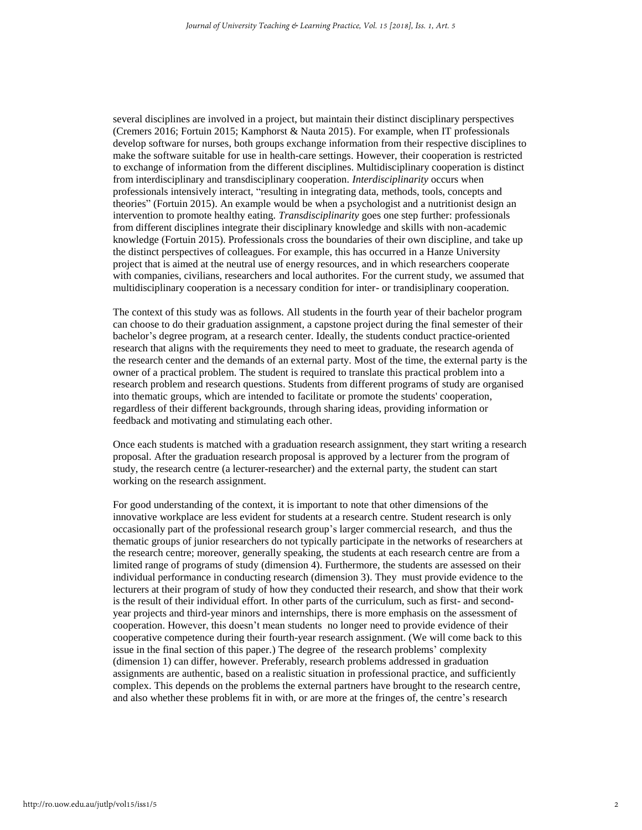several disciplines are involved in a project, but maintain their distinct disciplinary perspectives (Cremers 2016; Fortuin 2015; Kamphorst & Nauta 2015). For example, when IT professionals develop software for nurses, both groups exchange information from their respective disciplines to make the software suitable for use in health-care settings. However, their cooperation is restricted to exchange of information from the different disciplines. Multidisciplinary cooperation is distinct from interdisciplinary and transdisciplinary cooperation. *Interdisciplinarity* occurs when professionals intensively interact, "resulting in integrating data, methods, tools, concepts and theories" (Fortuin 2015). An example would be when a psychologist and a nutritionist design an intervention to promote healthy eating. *Transdisciplinarity* goes one step further: professionals from different disciplines integrate their disciplinary knowledge and skills with non-academic knowledge (Fortuin 2015). Professionals cross the boundaries of their own discipline, and take up the distinct perspectives of colleagues. For example, this has occurred in a Hanze University project that is aimed at the neutral use of energy resources, and in which researchers cooperate with companies, civilians, researchers and local authorites. For the current study, we assumed that multidisciplinary cooperation is a necessary condition for inter- or trandisiplinary cooperation.

The context of this study was as follows. All students in the fourth year of their bachelor program can choose to do their graduation assignment, a capstone project during the final semester of their bachelor's degree program, at a research center. Ideally, the students conduct practice-oriented research that aligns with the requirements they need to meet to graduate, the research agenda of the research center and the demands of an external party. Most of the time, the external party is the owner of a practical problem. The student is required to translate this practical problem into a research problem and research questions. Students from different programs of study are organised into thematic groups, which are intended to facilitate or promote the students' cooperation, regardless of their different backgrounds, through sharing ideas, providing information or feedback and motivating and stimulating each other.

Once each students is matched with a graduation research assignment, they start writing a research proposal. After the graduation research proposal is approved by a lecturer from the program of study, the research centre (a lecturer-researcher) and the external party, the student can start working on the research assignment.

For good understanding of the context, it is important to note that other dimensions of the innovative workplace are less evident for students at a research centre. Student research is only occasionally part of the professional research group's larger commercial research, and thus the thematic groups of junior researchers do not typically participate in the networks of researchers at the research centre; moreover, generally speaking, the students at each research centre are from a limited range of programs of study (dimension 4). Furthermore, the students are assessed on their individual performance in conducting research (dimension 3). They must provide evidence to the lecturers at their program of study of how they conducted their research, and show that their work is the result of their individual effort. In other parts of the curriculum, such as first- and secondyear projects and third-year minors and internships, there is more emphasis on the assessment of cooperation. However, this doesn't mean students no longer need to provide evidence of their cooperative competence during their fourth-year research assignment. (We will come back to this issue in the final section of this paper.) The degree of the research problems' complexity (dimension 1) can differ, however. Preferably, research problems addressed in graduation assignments are authentic, based on a realistic situation in professional practice, and sufficiently complex. This depends on the problems the external partners have brought to the research centre, and also whether these problems fit in with, or are more at the fringes of, the centre's research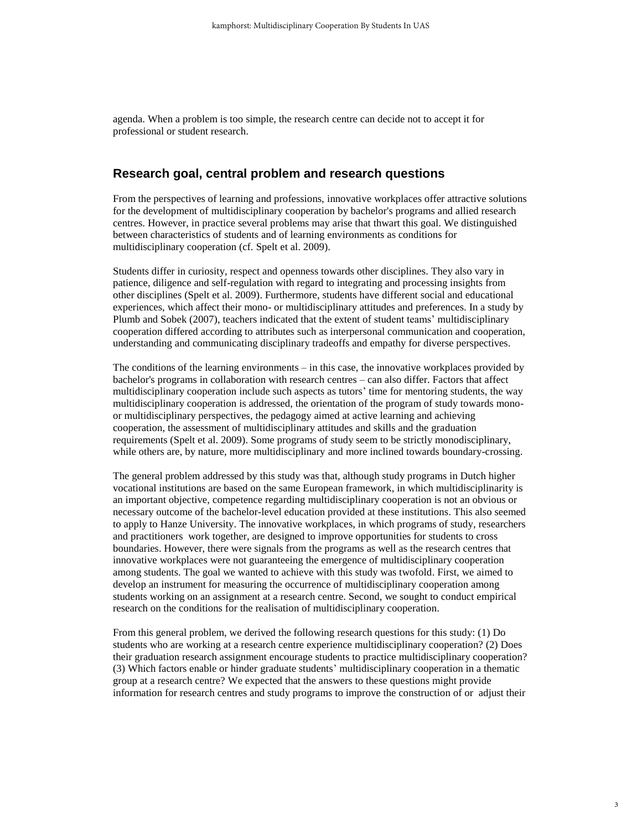agenda. When a problem is too simple, the research centre can decide not to accept it for professional or student research.

# **Research goal, central problem and research questions**

From the perspectives of learning and professions, innovative workplaces offer attractive solutions for the development of multidisciplinary cooperation by bachelor's programs and allied research centres. However, in practice several problems may arise that thwart this goal. We distinguished between characteristics of students and of learning environments as conditions for multidisciplinary cooperation (cf. Spelt et al. 2009).

Students differ in curiosity, respect and openness towards other disciplines. They also vary in patience, diligence and self-regulation with regard to integrating and processing insights from other disciplines (Spelt et al. 2009). Furthermore, students have different social and educational experiences, which affect their mono- or multidisciplinary attitudes and preferences. In a study by Plumb and Sobek (2007), teachers indicated that the extent of student teams' multidisciplinary cooperation differed according to attributes such as interpersonal communication and cooperation, understanding and communicating disciplinary tradeoffs and empathy for diverse perspectives.

The conditions of the learning environments – in this case, the innovative workplaces provided by bachelor's programs in collaboration with research centres – can also differ. Factors that affect multidisciplinary cooperation include such aspects as tutors' time for mentoring students, the way multidisciplinary cooperation is addressed, the orientation of the program of study towards monoor multidisciplinary perspectives, the pedagogy aimed at active learning and achieving cooperation, the assessment of multidisciplinary attitudes and skills and the graduation requirements (Spelt et al. 2009). Some programs of study seem to be strictly monodisciplinary, while others are, by nature, more multidisciplinary and more inclined towards boundary-crossing.

The general problem addressed by this study was that, although study programs in Dutch higher vocational institutions are based on the same European framework, in which multidisciplinarity is an important objective, competence regarding multidisciplinary cooperation is not an obvious or necessary outcome of the bachelor-level education provided at these institutions. This also seemed to apply to Hanze University. The innovative workplaces, in which programs of study, researchers and practitioners work together, are designed to improve opportunities for students to cross boundaries. However, there were signals from the programs as well as the research centres that innovative workplaces were not guaranteeing the emergence of multidisciplinary cooperation among students. The goal we wanted to achieve with this study was twofold. First, we aimed to develop an instrument for measuring the occurrence of multidisciplinary cooperation among students working on an assignment at a research centre. Second, we sought to conduct empirical research on the conditions for the realisation of multidisciplinary cooperation.

From this general problem, we derived the following research questions for this study: (1) Do students who are working at a research centre experience multidisciplinary cooperation? (2) Does their graduation research assignment encourage students to practice multidisciplinary cooperation? (3) Which factors enable or hinder graduate students' multidisciplinary cooperation in a thematic group at a research centre? We expected that the answers to these questions might provide information for research centres and study programs to improve the construction of or adjust their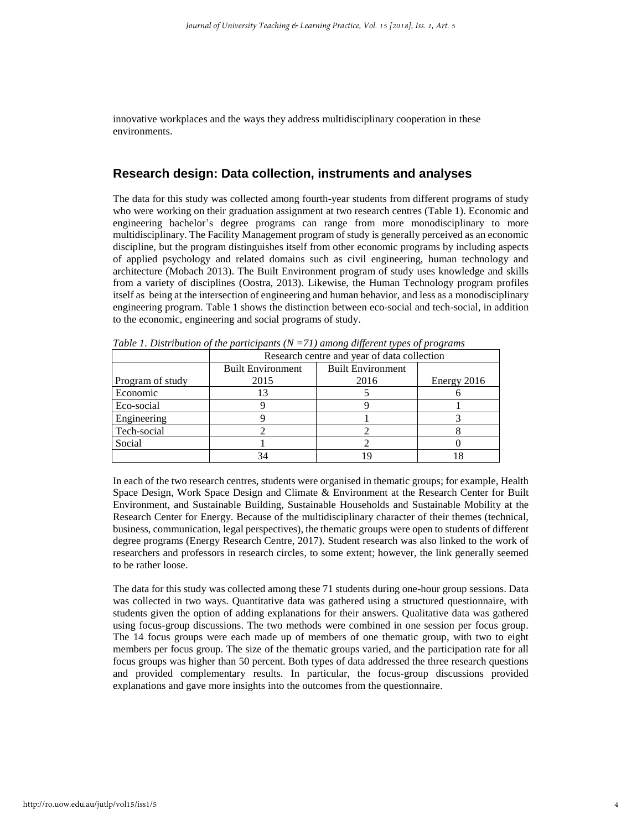innovative workplaces and the ways they address multidisciplinary cooperation in these environments.

## **Research design: Data collection, instruments and analyses**

The data for this study was collected among fourth-year students from different programs of study who were working on their graduation assignment at two research centres (Table 1). Economic and engineering bachelor's degree programs can range from more monodisciplinary to more multidisciplinary. The Facility Management program of study is generally perceived as an economic discipline, but the program distinguishes itself from other economic programs by including aspects of applied psychology and related domains such as civil engineering, human technology and architecture (Mobach 2013). The Built Environment program of study uses knowledge and skills from a variety of disciplines (Oostra, 2013). Likewise, the Human Technology program profiles itself as being at the intersection of engineering and human behavior, and less as a monodisciplinary engineering program. Table 1 shows the distinction between eco-social and tech-social, in addition to the economic, engineering and social programs of study.

|                  | Research centre and year of data collection          |      |             |  |
|------------------|------------------------------------------------------|------|-------------|--|
|                  | <b>Built Environment</b><br><b>Built Environment</b> |      |             |  |
| Program of study | 2015                                                 | 2016 | Energy 2016 |  |
| Economic         |                                                      |      |             |  |
| Eco-social       |                                                      |      |             |  |
| Engineering      |                                                      |      |             |  |
| Tech-social      |                                                      |      |             |  |
| Social           |                                                      |      |             |  |
|                  |                                                      |      |             |  |

*Table 1. Distribution of the participants (N =71) among different types of programs*

In each of the two research centres, students were organised in thematic groups; for example, Health Space Design, Work Space Design and Climate & Environment at the Research Center for Built Environment, and Sustainable Building, Sustainable Households and Sustainable Mobility at the Research Center for Energy. Because of the multidisciplinary character of their themes (technical, business, communication, legal perspectives), the thematic groups were open to students of different degree programs (Energy Research Centre, 2017). Student research was also linked to the work of researchers and professors in research circles, to some extent; however, the link generally seemed to be rather loose.

The data for this study was collected among these 71 students during one-hour group sessions. Data was collected in two ways. Quantitative data was gathered using a structured questionnaire, with students given the option of adding explanations for their answers. Qualitative data was gathered using focus-group discussions. The two methods were combined in one session per focus group. The 14 focus groups were each made up of members of one thematic group, with two to eight members per focus group. The size of the thematic groups varied, and the participation rate for all focus groups was higher than 50 percent. Both types of data addressed the three research questions and provided complementary results. In particular, the focus-group discussions provided explanations and gave more insights into the outcomes from the questionnaire.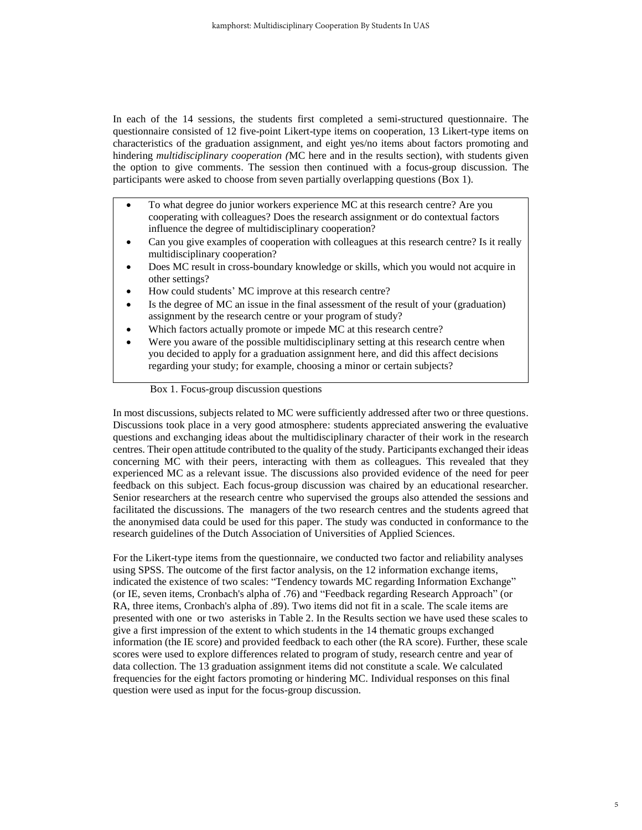In each of the 14 sessions, the students first completed a semi-structured questionnaire. The questionnaire consisted of 12 five-point Likert-type items on cooperation, 13 Likert-type items on characteristics of the graduation assignment, and eight yes/no items about factors promoting and hindering *multidisciplinary cooperation (*MC here and in the results section), with students given the option to give comments. The session then continued with a focus-group discussion. The participants were asked to choose from seven partially overlapping questions (Box 1).

- To what degree do junior workers experience MC at this research centre? Are you cooperating with colleagues? Does the research assignment or do contextual factors influence the degree of multidisciplinary cooperation?
- Can you give examples of cooperation with colleagues at this research centre? Is it really multidisciplinary cooperation?
- Does MC result in cross-boundary knowledge or skills, which you would not acquire in other settings?
- How could students' MC improve at this research centre?
- Is the degree of MC an issue in the final assessment of the result of your (graduation) assignment by the research centre or your program of study?
- Which factors actually promote or impede MC at this research centre?
- Were you aware of the possible multidisciplinary setting at this research centre when you decided to apply for a graduation assignment here, and did this affect decisions regarding your study; for example, choosing a minor or certain subjects?

Box 1. Focus-group discussion questions

In most discussions, subjects related to MC were sufficiently addressed after two or three questions. Discussions took place in a very good atmosphere: students appreciated answering the evaluative questions and exchanging ideas about the multidisciplinary character of their work in the research centres. Their open attitude contributed to the quality of the study. Participants exchanged their ideas concerning MC with their peers, interacting with them as colleagues. This revealed that they experienced MC as a relevant issue. The discussions also provided evidence of the need for peer feedback on this subject. Each focus-group discussion was chaired by an educational researcher. Senior researchers at the research centre who supervised the groups also attended the sessions and facilitated the discussions. The managers of the two research centres and the students agreed that the anonymised data could be used for this paper. The study was conducted in conformance to the research guidelines of the Dutch Association of Universities of Applied Sciences.

For the Likert-type items from the questionnaire, we conducted two factor and reliability analyses using SPSS. The outcome of the first factor analysis, on the 12 information exchange items, indicated the existence of two scales: "Tendency towards MC regarding Information Exchange" (or IE, seven items, Cronbach's alpha of .76) and "Feedback regarding Research Approach" (or RA, three items, Cronbach's alpha of .89). Two items did not fit in a scale. The scale items are presented with one or two asterisks in Table 2. In the Results section we have used these scales to give a first impression of the extent to which students in the 14 thematic groups exchanged information (the IE score) and provided feedback to each other (the RA score). Further, these scale scores were used to explore differences related to program of study, research centre and year of data collection. The 13 graduation assignment items did not constitute a scale. We calculated frequencies for the eight factors promoting or hindering MC. Individual responses on this final question were used as input for the focus-group discussion.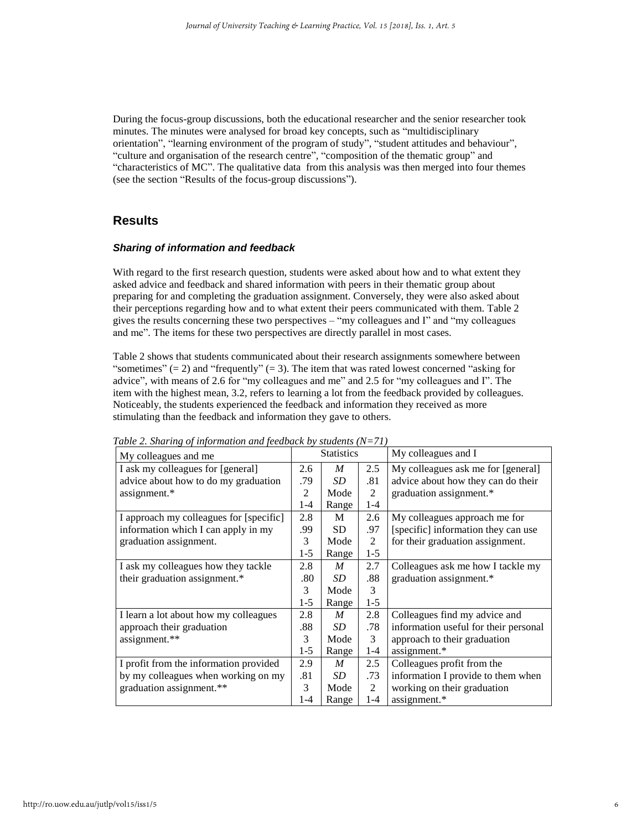During the focus-group discussions, both the educational researcher and the senior researcher took minutes. The minutes were analysed for broad key concepts, such as "multidisciplinary orientation", "learning environment of the program of study", "student attitudes and behaviour", "culture and organisation of the research centre", "composition of the thematic group" and "characteristics of MC". The qualitative data from this analysis was then merged into four themes (see the section "Results of the focus-group discussions").

# **Results**

#### *Sharing of information and feedback*

With regard to the first research question, students were asked about how and to what extent they asked advice and feedback and shared information with peers in their thematic group about preparing for and completing the graduation assignment. Conversely, they were also asked about their perceptions regarding how and to what extent their peers communicated with them. Table 2 gives the results concerning these two perspectives – "my colleagues and I" and "my colleagues and me". The items for these two perspectives are directly parallel in most cases.

Table 2 shows that students communicated about their research assignments somewhere between "sometimes"  $(= 2)$  and "frequently"  $(= 3)$ . The item that was rated lowest concerned "asking for advice", with means of 2.6 for "my colleagues and me" and 2.5 for "my colleagues and I". The item with the highest mean, 3.2, refers to learning a lot from the feedback provided by colleagues. Noticeably, the students experienced the feedback and information they received as more stimulating than the feedback and information they gave to others.

| My colleagues and me                    |         | <b>Statistics</b> |                | My colleagues and I                   |  |
|-----------------------------------------|---------|-------------------|----------------|---------------------------------------|--|
| I ask my colleagues for [general]       |         | M                 | 2.5            | My colleagues ask me for [general]    |  |
| advice about how to do my graduation    |         | SD <sub>-</sub>   | .81            | advice about how they can do their    |  |
| assignment.*                            | 2       | Mode              | 2              | graduation assignment.*               |  |
|                                         | 1-4     | Range             | $1 - 4$        |                                       |  |
| I approach my colleagues for [specific] | 2.8     | M                 | 2.6            | My colleagues approach me for         |  |
| information which I can apply in my     |         | <b>SD</b>         | .97            | [specific] information they can use   |  |
| graduation assignment.                  | 3       | Mode              | $\mathfrak{D}$ | for their graduation assignment.      |  |
|                                         | $1-5$   | Range             | $1 - 5$        |                                       |  |
| I ask my colleagues how they tackle     | 2.8     | M                 | 2.7            | Colleagues ask me how I tackle my     |  |
| their graduation assignment.*           | .80     | SD.               | .88            | graduation assignment.*               |  |
|                                         | 3       | Mode              | 3              |                                       |  |
|                                         | $1-5$   | Range             | $1-5$          |                                       |  |
| I learn a lot about how my colleagues   | 2.8     | $\boldsymbol{M}$  | 2.8            | Colleagues find my advice and         |  |
| approach their graduation               | .88     | SD <sub>-</sub>   | .78            | information useful for their personal |  |
| assignment.**                           | 3       | Mode              | 3              | approach to their graduation          |  |
|                                         | $1-5$   | Range             | $1 - 4$        | assignment.*                          |  |
| I profit from the information provided  | 2.9     | M                 | 2.5            | Colleagues profit from the            |  |
| by my colleagues when working on my     | .81     | SD <sub>-</sub>   | .73            | information I provide to them when    |  |
| graduation assignment.**                | 3       | Mode              | 2              | working on their graduation           |  |
|                                         | $1 - 4$ | Range             | $1 - 4$        | assignment.*                          |  |

*Table 2. Sharing of information and feedback by students (N=71)*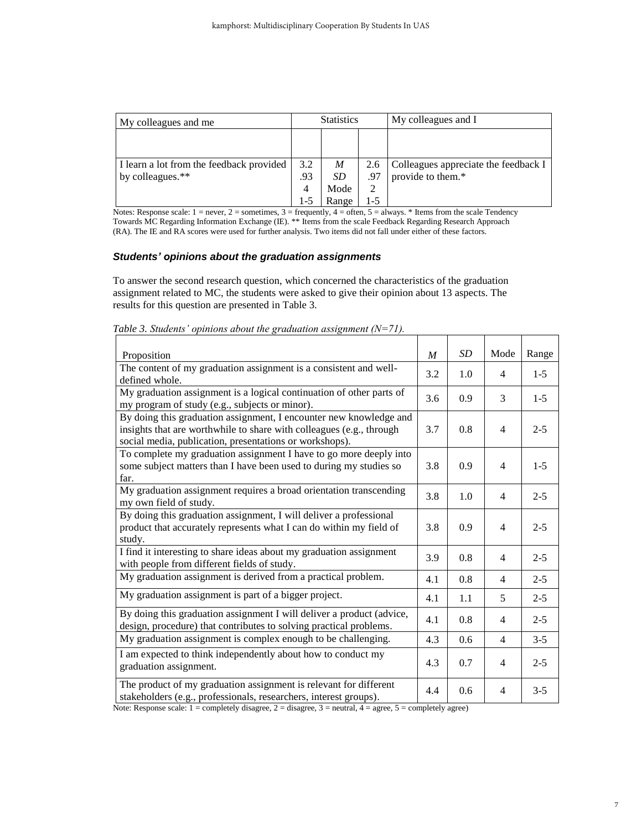| My colleagues and me                     | <b>Statistics</b> |       |     | My colleagues and I                  |  |  |
|------------------------------------------|-------------------|-------|-----|--------------------------------------|--|--|
|                                          |                   |       |     |                                      |  |  |
|                                          |                   |       |     |                                      |  |  |
| I learn a lot from the feedback provided | 3.2               | M     | 2.6 | Colleagues appreciate the feedback I |  |  |
| by colleagues.**                         | .93               | SD    | .97 | provide to them.*                    |  |  |
|                                          | 4                 | Mode  | 2   |                                      |  |  |
|                                          | 1-5               | Range | 1-5 |                                      |  |  |

Notes: Response scale:  $1 =$  never,  $2 =$  sometimes,  $3 =$  frequently,  $4 =$  often,  $5 =$  always. \* Items from the scale Tendency Towards MC Regarding Information Exchange (IE). \*\* Items from the scale Feedback Regarding Research Approach (RA). The IE and RA scores were used for further analysis. Two items did not fall under either of these factors.

#### *Students' opinions about the graduation assignments*

To answer the second research question, which concerned the characteristics of the graduation assignment related to MC, the students were asked to give their opinion about 13 aspects. The results for this question are presented in Table 3.

| Proposition                                                                                                                                                                                           | M   | SD  | Mode           | Range   |
|-------------------------------------------------------------------------------------------------------------------------------------------------------------------------------------------------------|-----|-----|----------------|---------|
| The content of my graduation assignment is a consistent and well-<br>defined whole.                                                                                                                   | 3.2 | 1.0 | 4              | $1-5$   |
| My graduation assignment is a logical continuation of other parts of<br>my program of study (e.g., subjects or minor).                                                                                | 3.6 | 0.9 | 3              | $1-5$   |
| By doing this graduation assignment, I encounter new knowledge and<br>insights that are worthwhile to share with colleagues (e.g., through<br>social media, publication, presentations or workshops). | 3.7 | 0.8 | $\overline{4}$ | $2 - 5$ |
| To complete my graduation assignment I have to go more deeply into<br>some subject matters than I have been used to during my studies so<br>far.                                                      | 3.8 | 0.9 | $\overline{4}$ | $1-5$   |
| My graduation assignment requires a broad orientation transcending<br>my own field of study.                                                                                                          | 3.8 | 1.0 | $\overline{4}$ | $2 - 5$ |
| By doing this graduation assignment, I will deliver a professional<br>product that accurately represents what I can do within my field of<br>study.                                                   | 3.8 | 0.9 | $\overline{4}$ | $2 - 5$ |
| I find it interesting to share ideas about my graduation assignment<br>with people from different fields of study.                                                                                    | 3.9 | 0.8 | $\overline{4}$ | $2 - 5$ |
| My graduation assignment is derived from a practical problem.                                                                                                                                         | 4.1 | 0.8 | $\overline{4}$ | $2 - 5$ |
| My graduation assignment is part of a bigger project.                                                                                                                                                 | 4.1 | 1.1 | 5              | $2 - 5$ |
| By doing this graduation assignment I will deliver a product (advice,<br>design, procedure) that contributes to solving practical problems.                                                           | 4.1 | 0.8 | $\overline{4}$ | $2 - 5$ |
| My graduation assignment is complex enough to be challenging.                                                                                                                                         | 4.3 | 0.6 | $\overline{4}$ | $3 - 5$ |
| I am expected to think independently about how to conduct my<br>graduation assignment.                                                                                                                | 4.3 | 0.7 | $\overline{4}$ | $2 - 5$ |
| The product of my graduation assignment is relevant for different<br>stakeholders (e.g., professionals, researchers, interest groups).                                                                | 4.4 | 0.6 | $\overline{4}$ | $3 - 5$ |

*Table 3. Students' opinions about the graduation assignment (N=71).*

Note: Response scale:  $1 =$  completely disagree,  $2 =$  disagree,  $3 =$  neutral,  $4 =$  agree,  $5 =$  completely agree)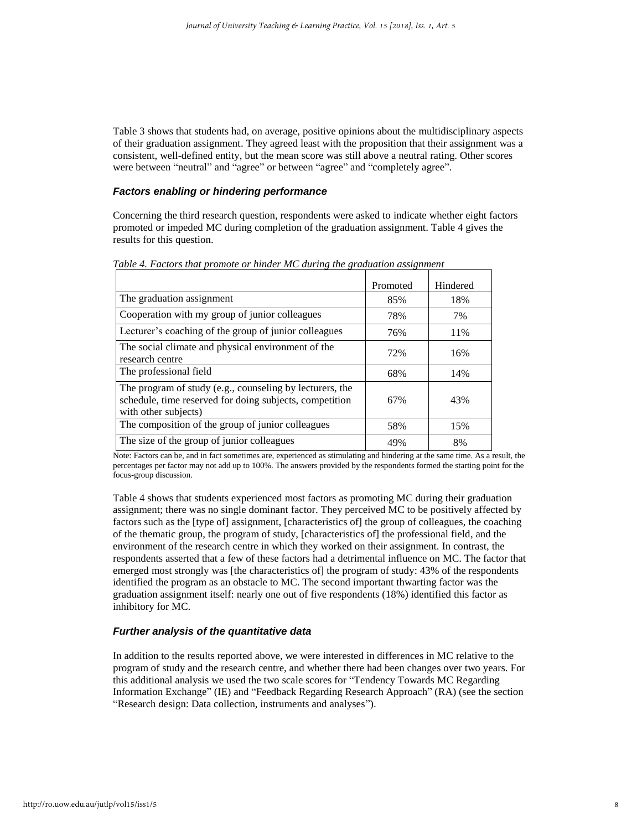Table 3 shows that students had, on average, positive opinions about the multidisciplinary aspects of their graduation assignment. They agreed least with the proposition that their assignment was a consistent, well-defined entity, but the mean score was still above a neutral rating. Other scores were between "neutral" and "agree" or between "agree" and "completely agree".

#### *Factors enabling or hindering performance*

Concerning the third research question, respondents were asked to indicate whether eight factors promoted or impeded MC during completion of the graduation assignment. Table 4 gives the results for this question.

|                                                                                                                                             | Promoted | Hindered |
|---------------------------------------------------------------------------------------------------------------------------------------------|----------|----------|
| The graduation assignment                                                                                                                   | 85%      | 18%      |
| Cooperation with my group of junior colleagues                                                                                              | 78%      | 7%       |
| Lecturer's coaching of the group of junior colleagues                                                                                       | 76%      | 11%      |
| The social climate and physical environment of the<br>research centre                                                                       | 72%      | 16%      |
| The professional field                                                                                                                      | 68%      | 14%      |
| The program of study (e.g., counseling by lecturers, the<br>schedule, time reserved for doing subjects, competition<br>with other subjects) | 67%      | 43%      |
| The composition of the group of junior colleagues                                                                                           | 58%      | 15%      |
| The size of the group of junior colleagues                                                                                                  | 49%      | 8%       |

*Table 4. Factors that promote or hinder MC during the graduation assignment*

Note: Factors can be, and in fact sometimes are, experienced as stimulating and hindering at the same time. As a result, the percentages per factor may not add up to 100%. The answers provided by the respondents formed the starting point for the focus-group discussion.

Table 4 shows that students experienced most factors as promoting MC during their graduation assignment; there was no single dominant factor. They perceived MC to be positively affected by factors such as the [type of] assignment, [characteristics of] the group of colleagues, the coaching of the thematic group, the program of study, [characteristics of] the professional field, and the environment of the research centre in which they worked on their assignment. In contrast, the respondents asserted that a few of these factors had a detrimental influence on MC. The factor that emerged most strongly was [the characteristics of] the program of study: 43% of the respondents identified the program as an obstacle to MC. The second important thwarting factor was the graduation assignment itself: nearly one out of five respondents (18%) identified this factor as inhibitory for MC.

#### *Further analysis of the quantitative data*

In addition to the results reported above, we were interested in differences in MC relative to the program of study and the research centre, and whether there had been changes over two years. For this additional analysis we used the two scale scores for "Tendency Towards MC Regarding Information Exchange" (IE) and "Feedback Regarding Research Approach" (RA) (see the section "Research design: Data collection, instruments and analyses").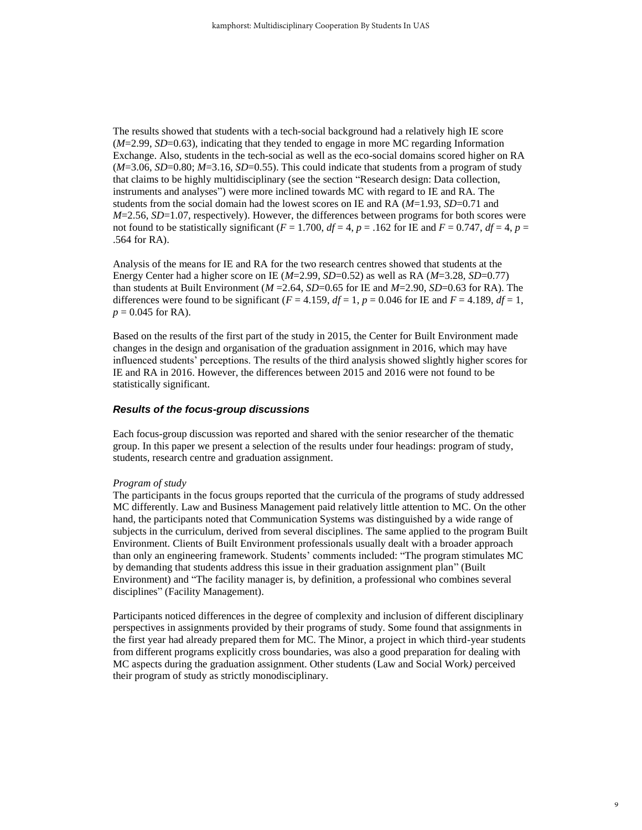The results showed that students with a tech-social background had a relatively high IE score (*M*=2.99, *SD*=0.63), indicating that they tended to engage in more MC regarding Information Exchange. Also, students in the tech-social as well as the eco-social domains scored higher on RA  $(M=3.06, SD=0.80; M=3.16, SD=0.55)$ . This could indicate that students from a program of study that claims to be highly multidisciplinary (see the section "Research design: Data collection, instruments and analyses") were more inclined towards MC with regard to IE and RA. The students from the social domain had the lowest scores on IE and RA (*M*=1.93, *SD*=0.71 and *M*=2.56, *SD*=1.07, respectively). However, the differences between programs for both scores were not found to be statistically significant ( $F = 1.700$ ,  $df = 4$ ,  $p = .162$  for IE and  $F = 0.747$ ,  $df = 4$ ,  $p =$ .564 for RA).

Analysis of the means for IE and RA for the two research centres showed that students at the Energy Center had a higher score on IE (*M*=2.99, *SD*=0.52) as well as RA (*M*=3.28, *SD*=0.77) than students at Built Environment  $(M=2.64, SD=0.65$  for IE and  $M=2.90, SD=0.63$  for RA). The differences were found to be significant  $(F = 4.159, df = 1, p = 0.046$  for IE and  $F = 4.189, df = 1$ ,  $p = 0.045$  for RA).

Based on the results of the first part of the study in 2015, the Center for Built Environment made changes in the design and organisation of the graduation assignment in 2016, which may have influenced students' perceptions. The results of the third analysis showed slightly higher scores for IE and RA in 2016. However, the differences between 2015 and 2016 were not found to be statistically significant.

#### *Results of the focus-group discussions*

Each focus-group discussion was reported and shared with the senior researcher of the thematic group. In this paper we present a selection of the results under four headings: program of study, students, research centre and graduation assignment.

#### *Program of study*

The participants in the focus groups reported that the curricula of the programs of study addressed MC differently. Law and Business Management paid relatively little attention to MC. On the other hand, the participants noted that Communication Systems was distinguished by a wide range of subjects in the curriculum, derived from several disciplines. The same applied to the program Built Environment. Clients of Built Environment professionals usually dealt with a broader approach than only an engineering framework. Students' comments included: "The program stimulates MC by demanding that students address this issue in their graduation assignment plan" (Built Environment) and "The facility manager is, by definition, a professional who combines several disciplines" (Facility Management).

Participants noticed differences in the degree of complexity and inclusion of different disciplinary perspectives in assignments provided by their programs of study. Some found that assignments in the first year had already prepared them for MC. The Minor, a project in which third-year students from different programs explicitly cross boundaries, was also a good preparation for dealing with MC aspects during the graduation assignment. Other students (Law and Social Work*)* perceived their program of study as strictly monodisciplinary.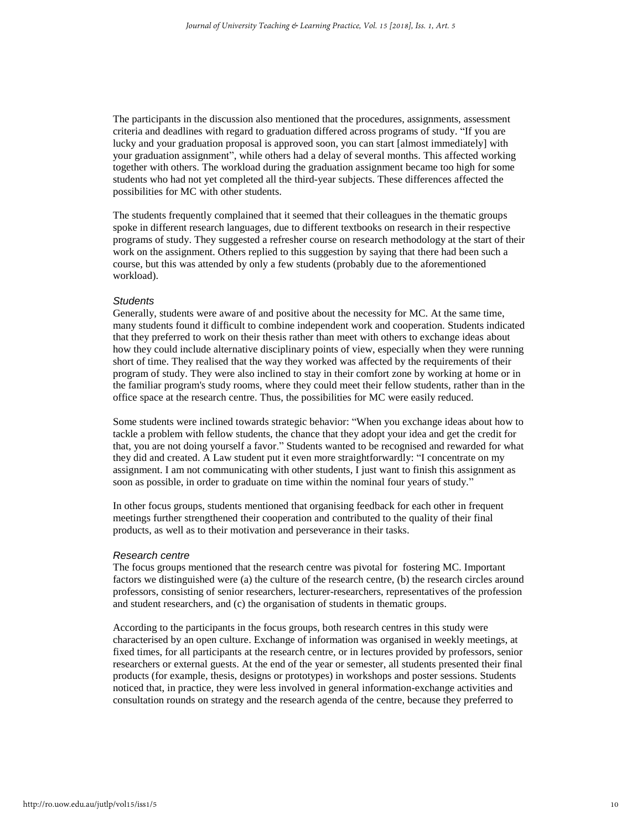The participants in the discussion also mentioned that the procedures, assignments, assessment criteria and deadlines with regard to graduation differed across programs of study. "If you are lucky and your graduation proposal is approved soon, you can start [almost immediately] with your graduation assignment", while others had a delay of several months. This affected working together with others. The workload during the graduation assignment became too high for some students who had not yet completed all the third-year subjects. These differences affected the possibilities for MC with other students.

The students frequently complained that it seemed that their colleagues in the thematic groups spoke in different research languages, due to different textbooks on research in their respective programs of study. They suggested a refresher course on research methodology at the start of their work on the assignment. Others replied to this suggestion by saying that there had been such a course, but this was attended by only a few students (probably due to the aforementioned workload).

#### *Students*

Generally, students were aware of and positive about the necessity for MC. At the same time, many students found it difficult to combine independent work and cooperation. Students indicated that they preferred to work on their thesis rather than meet with others to exchange ideas about how they could include alternative disciplinary points of view, especially when they were running short of time. They realised that the way they worked was affected by the requirements of their program of study. They were also inclined to stay in their comfort zone by working at home or in the familiar program's study rooms, where they could meet their fellow students, rather than in the office space at the research centre. Thus, the possibilities for MC were easily reduced.

Some students were inclined towards strategic behavior: "When you exchange ideas about how to tackle a problem with fellow students, the chance that they adopt your idea and get the credit for that, you are not doing yourself a favor." Students wanted to be recognised and rewarded for what they did and created. A Law student put it even more straightforwardly: "I concentrate on my assignment. I am not communicating with other students, I just want to finish this assignment as soon as possible, in order to graduate on time within the nominal four years of study."

In other focus groups, students mentioned that organising feedback for each other in frequent meetings further strengthened their cooperation and contributed to the quality of their final products, as well as to their motivation and perseverance in their tasks.

#### *Research centre*

The focus groups mentioned that the research centre was pivotal for fostering MC. Important factors we distinguished were (a) the culture of the research centre, (b) the research circles around professors, consisting of senior researchers, lecturer-researchers, representatives of the profession and student researchers, and (c) the organisation of students in thematic groups.

According to the participants in the focus groups, both research centres in this study were characterised by an open culture. Exchange of information was organised in weekly meetings, at fixed times, for all participants at the research centre, or in lectures provided by professors, senior researchers or external guests. At the end of the year or semester, all students presented their final products (for example, thesis, designs or prototypes) in workshops and poster sessions. Students noticed that, in practice, they were less involved in general information-exchange activities and consultation rounds on strategy and the research agenda of the centre, because they preferred to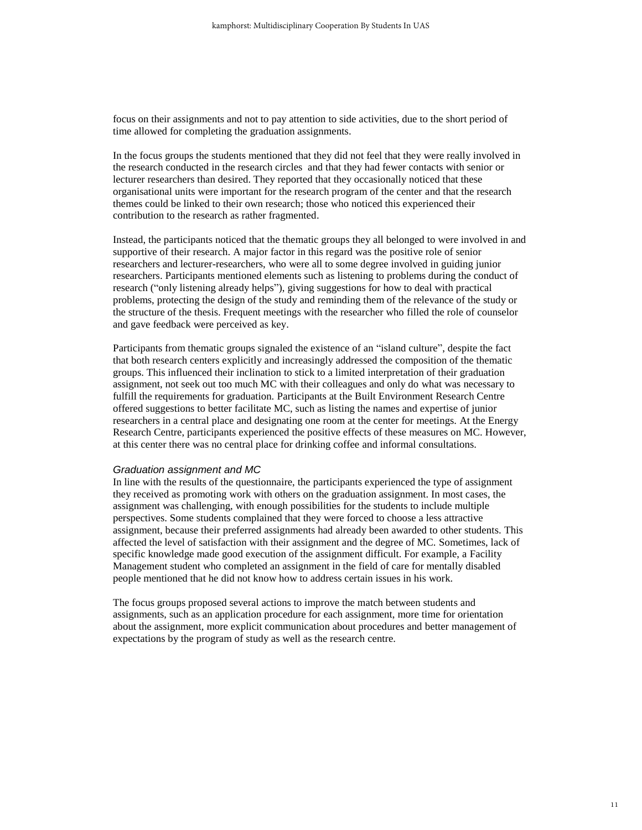focus on their assignments and not to pay attention to side activities, due to the short period of time allowed for completing the graduation assignments.

In the focus groups the students mentioned that they did not feel that they were really involved in the research conducted in the research circles and that they had fewer contacts with senior or lecturer researchers than desired. They reported that they occasionally noticed that these organisational units were important for the research program of the center and that the research themes could be linked to their own research; those who noticed this experienced their contribution to the research as rather fragmented.

Instead, the participants noticed that the thematic groups they all belonged to were involved in and supportive of their research. A major factor in this regard was the positive role of senior researchers and lecturer-researchers, who were all to some degree involved in guiding junior researchers. Participants mentioned elements such as listening to problems during the conduct of research ("only listening already helps"), giving suggestions for how to deal with practical problems, protecting the design of the study and reminding them of the relevance of the study or the structure of the thesis. Frequent meetings with the researcher who filled the role of counselor and gave feedback were perceived as key.

Participants from thematic groups signaled the existence of an "island culture", despite the fact that both research centers explicitly and increasingly addressed the composition of the thematic groups. This influenced their inclination to stick to a limited interpretation of their graduation assignment, not seek out too much MC with their colleagues and only do what was necessary to fulfill the requirements for graduation. Participants at the Built Environment Research Centre offered suggestions to better facilitate MC, such as listing the names and expertise of junior researchers in a central place and designating one room at the center for meetings. At the Energy Research Centre, participants experienced the positive effects of these measures on MC. However, at this center there was no central place for drinking coffee and informal consultations.

#### *Graduation assignment and MC*

In line with the results of the questionnaire, the participants experienced the type of assignment they received as promoting work with others on the graduation assignment. In most cases, the assignment was challenging, with enough possibilities for the students to include multiple perspectives. Some students complained that they were forced to choose a less attractive assignment, because their preferred assignments had already been awarded to other students. This affected the level of satisfaction with their assignment and the degree of MC. Sometimes, lack of specific knowledge made good execution of the assignment difficult. For example, a Facility Management student who completed an assignment in the field of care for mentally disabled people mentioned that he did not know how to address certain issues in his work.

The focus groups proposed several actions to improve the match between students and assignments, such as an application procedure for each assignment, more time for orientation about the assignment, more explicit communication about procedures and better management of expectations by the program of study as well as the research centre.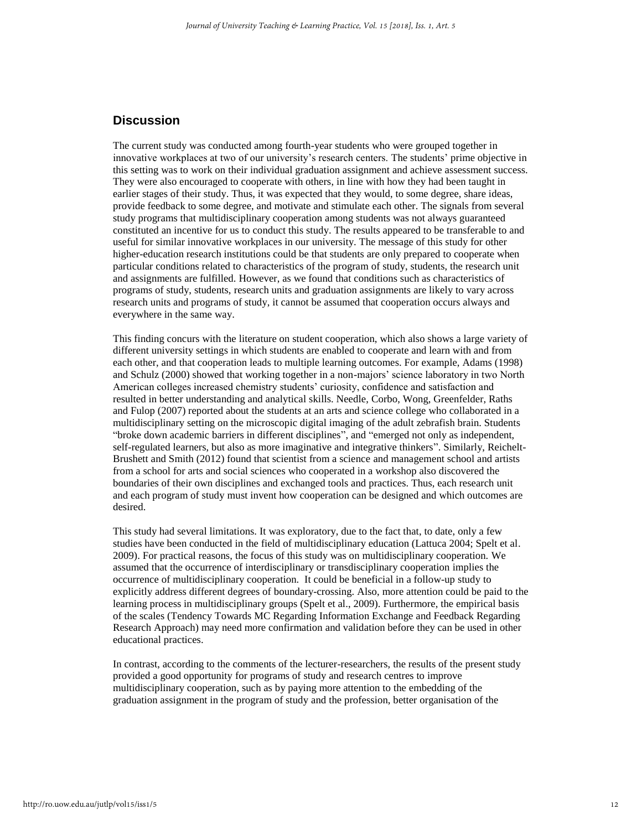# **Discussion**

The current study was conducted among fourth-year students who were grouped together in innovative workplaces at two of our university's research centers. The students' prime objective in this setting was to work on their individual graduation assignment and achieve assessment success. They were also encouraged to cooperate with others, in line with how they had been taught in earlier stages of their study. Thus, it was expected that they would, to some degree, share ideas, provide feedback to some degree, and motivate and stimulate each other. The signals from several study programs that multidisciplinary cooperation among students was not always guaranteed constituted an incentive for us to conduct this study. The results appeared to be transferable to and useful for similar innovative workplaces in our university. The message of this study for other higher-education research institutions could be that students are only prepared to cooperate when particular conditions related to characteristics of the program of study, students, the research unit and assignments are fulfilled. However, as we found that conditions such as characteristics of programs of study, students, research units and graduation assignments are likely to vary across research units and programs of study, it cannot be assumed that cooperation occurs always and everywhere in the same way.

This finding concurs with the literature on student cooperation, which also shows a large variety of different university settings in which students are enabled to cooperate and learn with and from each other, and that cooperation leads to multiple learning outcomes. For example, Adams (1998) and Schulz (2000) showed that working together in a non-majors' science laboratory in two North American colleges increased chemistry students' curiosity, confidence and satisfaction and resulted in better understanding and analytical skills. Needle, Corbo, Wong, Greenfelder, Raths and Fulop (2007) reported about the students at an arts and science college who collaborated in a multidisciplinary setting on the microscopic digital imaging of the adult zebrafish brain. Students "broke down academic barriers in different disciplines", and "emerged not only as independent, self-regulated learners, but also as more imaginative and integrative thinkers". Similarly, Reichelt-Brushett and Smith (2012) found that scientist from a science and management school and artists from a school for arts and social sciences who cooperated in a workshop also discovered the boundaries of their own disciplines and exchanged tools and practices. Thus, each research unit and each program of study must invent how cooperation can be designed and which outcomes are desired.

This study had several limitations. It was exploratory, due to the fact that, to date, only a few studies have been conducted in the field of multidisciplinary education (Lattuca 2004; Spelt et al. 2009). For practical reasons, the focus of this study was on multidisciplinary cooperation. We assumed that the occurrence of interdisciplinary or transdisciplinary cooperation implies the occurrence of multidisciplinary cooperation. It could be beneficial in a follow-up study to explicitly address different degrees of boundary-crossing. Also, more attention could be paid to the learning process in multidisciplinary groups (Spelt et al., 2009). Furthermore, the empirical basis of the scales (Tendency Towards MC Regarding Information Exchange and Feedback Regarding Research Approach) may need more confirmation and validation before they can be used in other educational practices.

In contrast, according to the comments of the lecturer-researchers, the results of the present study provided a good opportunity for programs of study and research centres to improve multidisciplinary cooperation, such as by paying more attention to the embedding of the graduation assignment in the program of study and the profession, better organisation of the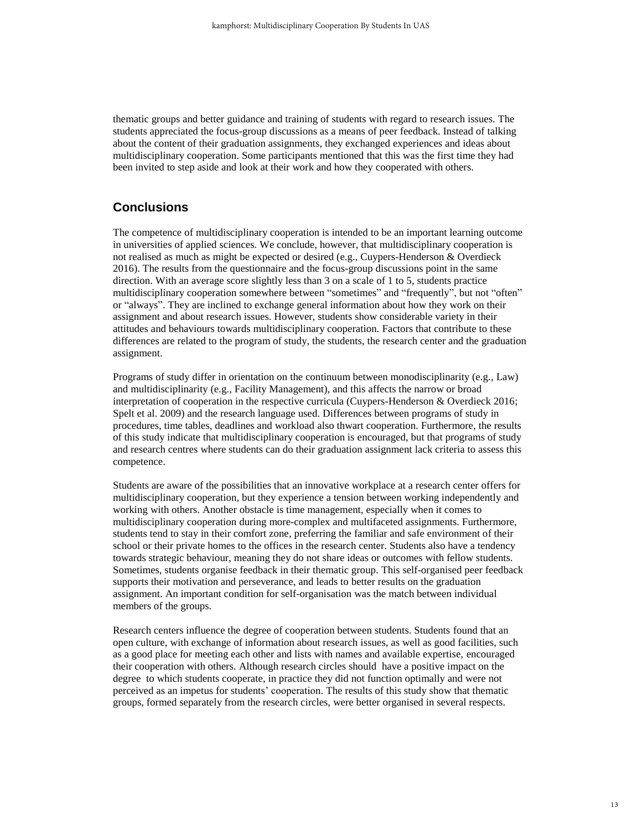thematic groups and better guidance and training of students with regard to research issues. The students appreciated the focus-group discussions as a means of peer feedback. Instead of talking about the content of their graduation assignments, they exchanged experiences and ideas about multidisciplinary cooperation. Some participants mentioned that this was the first time they had been invited to step aside and look at their work and how they cooperated with others.

# **Conclusions**

The competence of multidisciplinary cooperation is intended to be an important learning outcome in universities of applied sciences. We conclude, however, that multidisciplinary cooperation is not realised as much as might be expected or desired (e.g., Cuypers-Henderson & Overdieck 2016). The results from the questionnaire and the focus-group discussions point in the same direction. With an average score slightly less than 3 on a scale of 1 to 5, students practice multidisciplinary cooperation somewhere between "sometimes" and "frequently", but not "often" or "always". They are inclined to exchange general information about how they work on their assignment and about research issues. However, students show considerable variety in their attitudes and behaviours towards multidisciplinary cooperation. Factors that contribute to these differences are related to the program of study, the students, the research center and the graduation assignment.

Programs of study differ in orientation on the continuum between monodisciplinarity (e.g., Law) and multidisciplinarity (e.g., Facility Management), and this affects the narrow or broad interpretation of cooperation in the respective curricula (Cuypers-Henderson & Overdieck 2016; Spelt et al. 2009) and the research language used. Differences between programs of study in procedures, time tables, deadlines and workload also thwart cooperation. Furthermore, the results of this study indicate that multidisciplinary cooperation is encouraged, but that programs of study and research centres where students can do their graduation assignment lack criteria to assess this competence.

Students are aware of the possibilities that an innovative workplace at a research center offers for multidisciplinary cooperation, but they experience a tension between working independently and working with others. Another obstacle is time management, especially when it comes to multidisciplinary cooperation during more-complex and multifaceted assignments. Furthermore, students tend to stay in their comfort zone, preferring the familiar and safe environment of their school or their private homes to the offices in the research center. Students also have a tendency towards strategic behaviour, meaning they do not share ideas or outcomes with fellow students. Sometimes, students organise feedback in their thematic group. This self-organised peer feedback supports their motivation and perseverance, and leads to better results on the graduation assignment. An important condition for self-organisation was the match between individual members of the groups.

Research centers influence the degree of cooperation between students. Students found that an open culture, with exchange of information about research issues, as well as good facilities, such as a good place for meeting each other and lists with names and available expertise, encouraged their cooperation with others. Although research circles should have a positive impact on the degree to which students cooperate, in practice they did not function optimally and were not perceived as an impetus for students' cooperation. The results of this study show that thematic groups, formed separately from the research circles, were better organised in several respects.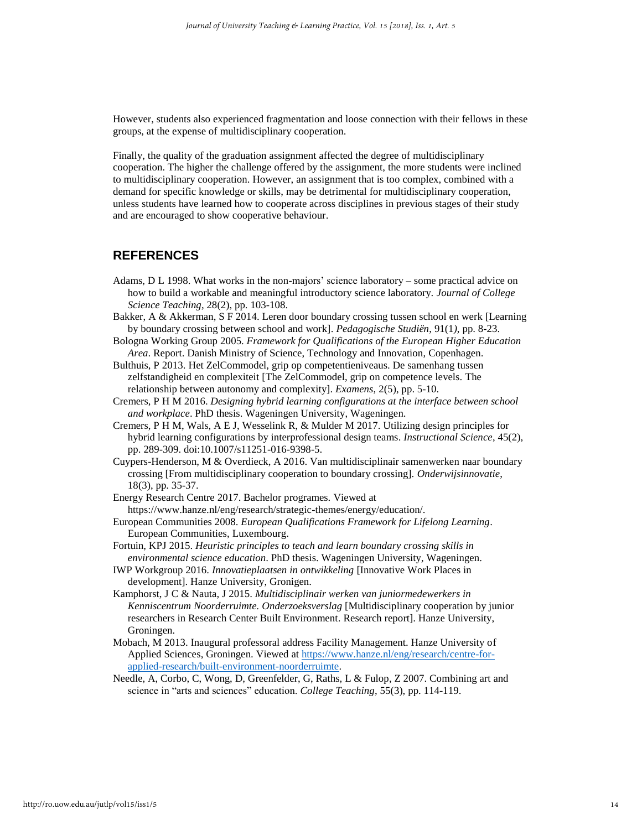However, students also experienced fragmentation and loose connection with their fellows in these groups, at the expense of multidisciplinary cooperation.

Finally, the quality of the graduation assignment affected the degree of multidisciplinary cooperation. The higher the challenge offered by the assignment, the more students were inclined to multidisciplinary cooperation. However, an assignment that is too complex, combined with a demand for specific knowledge or skills, may be detrimental for multidisciplinary cooperation, unless students have learned how to cooperate across disciplines in previous stages of their study and are encouraged to show cooperative behaviour.

# **REFERENCES**

- Adams, D L 1998. What works in the non-majors' science laboratory some practical advice on how to build a workable and meaningful introductory science laboratory. *Journal of College Science Teaching*, 28(2), pp. 103-108.
- Bakker, A & Akkerman, S F 2014. Leren door boundary crossing tussen school en werk [Learning by boundary crossing between school and work]. *Pedagogische Studiën*, 91(1*)*, pp. 8-23.
- Bologna Working Group 2005. *Framework for Qualifications of the European Higher Education Area*. Report. Danish Ministry of Science, Technology and Innovation, Copenhagen.
- Bulthuis, P 2013. Het ZelCommodel, grip op competentieniveaus. De samenhang tussen zelfstandigheid en complexiteit [The ZelCommodel, grip on competence levels. The relationship between autonomy and complexity]. *Examens*, 2(5), pp. 5-10.
- Cremers, P H M 2016. *Designing hybrid learning configurations at the interface between school and workplace*. PhD thesis. Wageningen University, Wageningen.
- Cremers, P H M, Wals, A E J, Wesselink R, & Mulder M 2017. Utilizing design principles for hybrid learning configurations by interprofessional design teams. *Instructional Science*, 45(2), pp. 289-309. doi:10.1007/s11251-016-9398-5.
- Cuypers-Henderson, M & Overdieck, A 2016. Van multidisciplinair samenwerken naar boundary crossing [From multidisciplinary cooperation to boundary crossing]. *Onderwijsinnovatie*, 18(3), pp. 35-37.
- Energy Research Centre 2017. Bachelor programes. Viewed at https://www.hanze.nl/eng/research/strategic-themes/energy/education/.
- European Communities 2008. *European Qualifications Framework for Lifelong Learning*. European Communities, Luxembourg.
- Fortuin, KPJ 2015. *Heuristic principles to teach and learn boundary crossing skills in environmental science education*. PhD thesis. Wageningen University, Wageningen.
- IWP Workgroup 2016. *Innovatieplaatsen in ontwikkeling* [Innovative Work Places in development]. Hanze University, Gronigen.
- Kamphorst, J C & Nauta, J 2015. *Multidisciplinair werken van juniormedewerkers in Kenniscentrum Noorderruimte. Onderzoeksverslag* [Multidisciplinary cooperation by junior researchers in Research Center Built Environment. Research report]. Hanze University, Groningen.
- Mobach, M 2013. Inaugural professoral address Facility Management. Hanze University of Applied Sciences, Groningen. Viewed at [https://www.hanze.nl/eng/research/centre-for](https://www.hanze.nl/eng/research/centre-for-applied-research/built-environment-noorderruimte)[applied-research/built-environment-noorderruimte.](https://www.hanze.nl/eng/research/centre-for-applied-research/built-environment-noorderruimte)
- Needle, A, Corbo, C, Wong, D, Greenfelder, G, Raths, L & Fulop, Z 2007. Combining art and science in "arts and sciences" education. *College Teaching*, 55(3), pp. 114-119.